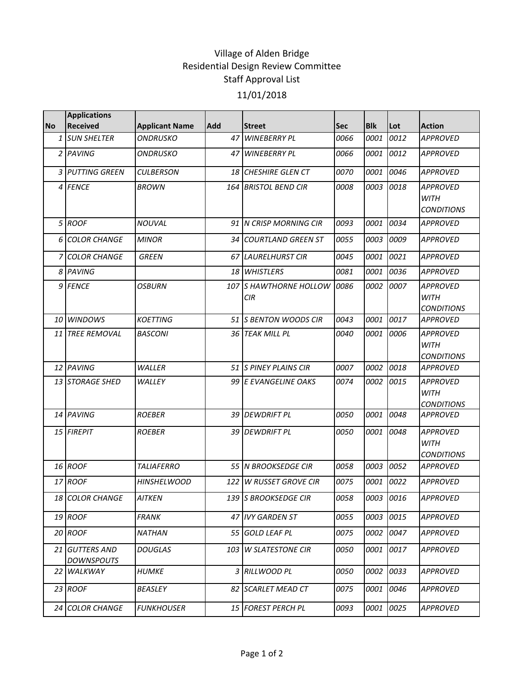## Village of Alden Bridge Residential Design Review Committee Staff Approval List 11/01/2018

|           | <b>Applications</b>                 |                       |            |                                      |             |            |      |                                                     |
|-----------|-------------------------------------|-----------------------|------------|--------------------------------------|-------------|------------|------|-----------------------------------------------------|
| <b>No</b> | <b>Received</b>                     | <b>Applicant Name</b> | <b>Add</b> | <b>Street</b>                        | <b>Sec</b>  | <b>Blk</b> | Lot  | <b>Action</b>                                       |
|           | 1 SUN SHELTER                       | <b>ONDRUSKO</b>       | 47         | <b>WINEBERRY PL</b>                  | 0066        | 0001       | 0012 | <b>APPROVED</b>                                     |
|           | 2 PAVING                            | <b>ONDRUSKO</b>       | 47         | <b>WINEBERRY PL</b>                  | 0066        | 0001       | 0012 | <b>APPROVED</b>                                     |
|           | 3 PUTTING GREEN                     | <b>CULBERSON</b>      |            | 18 CHESHIRE GLEN CT                  | <i>0070</i> | 0001       | 0046 | <b>APPROVED</b>                                     |
|           | 4 FENCE                             | <b>BROWN</b>          |            | 164 BRISTOL BEND CIR                 | 0008        | 0003       | 0018 | <b>APPROVED</b><br><b>WITH</b><br><b>CONDITIONS</b> |
|           | 5 ROOF                              | <b>NOUVAL</b>         |            | 91 IN CRISP MORNING CIR              | 0093        | 0001       | 0034 | <b>APPROVED</b>                                     |
|           | 6 COLOR CHANGE                      | <b>MINOR</b>          |            | 34 COURTLAND GREEN ST                | 0055        | 0003       | 0009 | <b>APPROVED</b>                                     |
|           | 7 COLOR CHANGE                      | <b>GREEN</b>          |            | 67 LAURELHURST CIR                   | 0045        | 0001       | 0021 | <b>APPROVED</b>                                     |
|           | 8 PAVING                            |                       |            | 18 WHISTLERS                         | 0081        | 0001       | 0036 | <b>APPROVED</b>                                     |
|           | 9 FENCE                             | <b>OSBURN</b>         |            | 107 S HAWTHORNE HOLLOW<br><b>CIR</b> | 0086        | 0002       | 0007 | <b>APPROVED</b><br><b>WITH</b><br><b>CONDITIONS</b> |
|           | 10 WINDOWS                          | <b>KOETTING</b>       |            | 51 S BENTON WOODS CIR                | 0043        | 0001       | 0017 | <b>APPROVED</b>                                     |
|           | 11 TREE REMOVAL                     | <b>BASCONI</b>        | 36         | <b>TEAK MILL PL</b>                  | 0040        | 0001       | 0006 | <b>APPROVED</b><br><b>WITH</b><br><b>CONDITIONS</b> |
|           | 12 PAVING                           | <b>WALLER</b>         |            | 51 IS PINEY PLAINS CIR               | 0007        | 0002       | 0018 | <b>APPROVED</b>                                     |
|           | 13 STORAGE SHED                     | WALLEY                |            | 99 E EVANGELINE OAKS                 | 0074        | 0002       | 0015 | <b>APPROVED</b><br><b>WITH</b><br><b>CONDITIONS</b> |
|           | 14 PAVING                           | <b>ROEBER</b>         |            | 39 DEWDRIFT PL                       | 0050        | 0001       | 0048 | <b>APPROVED</b>                                     |
|           | 15 FIREPIT                          | <b>ROEBER</b>         |            | 39 DEWDRIFT PL                       | 0050        | 0001       | 0048 | <b>APPROVED</b><br><b>WITH</b><br><b>CONDITIONS</b> |
|           | 16 ROOF                             | <b>TALIAFERRO</b>     |            | 55 N BROOKSEDGE CIR                  | 0058        | 0003       | 0052 | <b>APPROVED</b>                                     |
|           | 17 ROOF                             | <b>HINSHELWOOD</b>    | 122        | <b>W RUSSET GROVE CIR</b>            | 0075        | 0001       | 0022 | <b>APPROVED</b>                                     |
|           | <b>18 COLOR CHANGE</b>              | <b>AITKEN</b>         |            | 139 S BROOKSEDGE CIR                 | 0058        | 0003 0016  |      | <b>APPROVED</b>                                     |
|           | 19 ROOF                             | <b>FRANK</b>          |            | 47 IVY GARDEN ST                     | 0055        | 0003       | 0015 | <b>APPROVED</b>                                     |
|           | 20 ROOF                             | <b>NATHAN</b>         |            | 55 GOLD LEAF PL                      | 0075        | 0002       | 0047 | <b>APPROVED</b>                                     |
|           | 21 GUTTERS AND<br><b>DOWNSPOUTS</b> | <i>DOUGLAS</i>        | 103        | <b>W SLATESTONE CIR</b>              | 0050        | 0001       | 0017 | <b>APPROVED</b>                                     |
|           | 22 WALKWAY                          | <b>HUMKE</b>          |            | 3 RILLWOOD PL                        | 0050        | 0002       | 0033 | <b>APPROVED</b>                                     |
|           | 23 ROOF                             | <b>BEASLEY</b>        |            | 82 SCARLET MEAD CT                   | 0075        | 0001       | 0046 | <b>APPROVED</b>                                     |
|           | 24 COLOR CHANGE                     | <b>FUNKHOUSER</b>     |            | 15 FOREST PERCH PL                   | 0093        | 0001       | 0025 | APPROVED                                            |